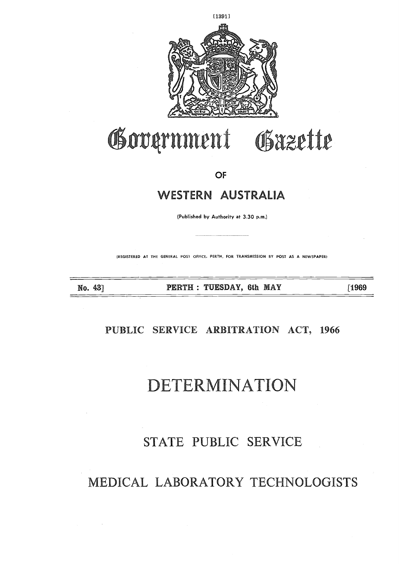

# Government Gazette

**OF** 

## WESTERN AUSTRALIA

(Published by Authority at 3.30 p.m.)

(REGISTERED AT THE GENERAL POS1 OFFICE, PERTH, FOR TRANSMISSION BY POST AS A NEWSPAPER)

No. 43] 

**PERTH : TUESDAY, 6th MAY [1969**

### **PUBLIC SERVICE ARBITRATION ACT, 1966**

# DETERMINATION

# STATE PUBLIC SERVICE

# MEDICAL LABORATORY TECHNOLOGISTS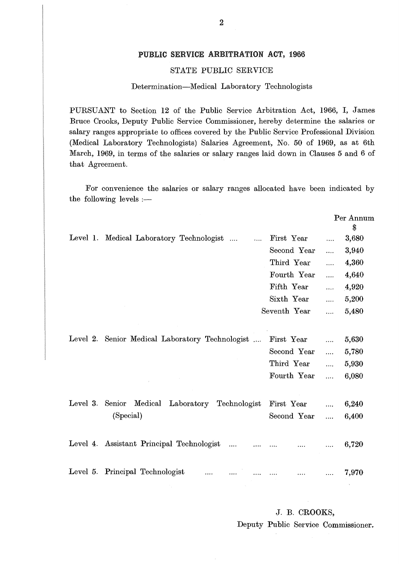#### **PUBLIC SERVICE ARBITRATION ACT, 1966**

#### STATE PUBLIC SERVICE

#### Determination—Medical Laboratory Technologists

PURSUANT to Section 12 of the Public Service Arbitration Act, 1966, I, James Bruce Crooks, Deputy Public Service Commissioner, hereby determine the salaries or salary ranges appropriate to offices covered by the Public Service Professional Division (Medical Laboratory Technologists) Salaries Agreement, No. 50 of 1969, as at 6th March, 1969, in terms of the salaries or salary ranges laid down in Clauses 5 and 6 of that Agreement.

| I apply you vice commissioner, hereby accelerate and sensitive of<br>salary ranges appropriate to offices covered by the Public Service Professional Division<br>(Medical Laboratory Technologists) Salaries Agreement, No. 50 of 1969, as at 6th<br>March, 1969, in terms of the salaries or salary ranges laid down in Clauses 5 and 6 of<br>that Agreement. |                            |          |                 |
|----------------------------------------------------------------------------------------------------------------------------------------------------------------------------------------------------------------------------------------------------------------------------------------------------------------------------------------------------------------|----------------------------|----------|-----------------|
| For convenience the salaries or salary ranges allocated have been indicated by<br>the following levels $:$ —                                                                                                                                                                                                                                                   |                            |          |                 |
|                                                                                                                                                                                                                                                                                                                                                                |                            |          | Per Annum<br>\$ |
| Level 1. Medical Laboratory Technologist<br>$\cdots$                                                                                                                                                                                                                                                                                                           | First Year                 | $\cdots$ | 3,680           |
|                                                                                                                                                                                                                                                                                                                                                                | Second Year                | $\ldots$ | 3,940           |
|                                                                                                                                                                                                                                                                                                                                                                | Third Year                 | $\cdots$ | 4,360           |
|                                                                                                                                                                                                                                                                                                                                                                | Fourth Year                | $\cdots$ | 4,640           |
|                                                                                                                                                                                                                                                                                                                                                                | Fifth Year                 | $\cdots$ | 4,920           |
|                                                                                                                                                                                                                                                                                                                                                                | Sixth Year                 | $\cdots$ | 5,200           |
|                                                                                                                                                                                                                                                                                                                                                                | Seventh Year               | .        | 5,480           |
| Level 2. Senior Medical Laboratory Technologist                                                                                                                                                                                                                                                                                                                | First Year                 | $\ldots$ | 5,630           |
|                                                                                                                                                                                                                                                                                                                                                                | Second Year                | $\cdots$ | 5,780           |
|                                                                                                                                                                                                                                                                                                                                                                | Third Year                 | $\cdots$ | 5,930           |
|                                                                                                                                                                                                                                                                                                                                                                | Fourth Year                | $\cdots$ | 6,080           |
| Level 3. Senior Medical<br>Laboratory Technologist First Year                                                                                                                                                                                                                                                                                                  |                            | $\cdots$ | 6,240           |
| (Special)                                                                                                                                                                                                                                                                                                                                                      | Second Year                | $\cdots$ | 6,400           |
|                                                                                                                                                                                                                                                                                                                                                                |                            |          |                 |
| Level 4. Assistant Principal Technologist                                                                                                                                                                                                                                                                                                                      |                            |          | $6{,}720$       |
| Level 5. Principal Technologist<br>$\label{eq:2.1} \mathcal{L}_{\mathcal{A}} = \mathcal{L}_{\mathcal{A}} + \mathcal{L}_{\mathcal{A}} + \mathcal{L}_{\mathcal{A}} + \mathcal{L}_{\mathcal{A}}$                                                                                                                                                                  | and the state of the state |          | 7,970           |
|                                                                                                                                                                                                                                                                                                                                                                |                            |          |                 |

#### J. B. CROOKS,

Deputy Public Service Commissioner.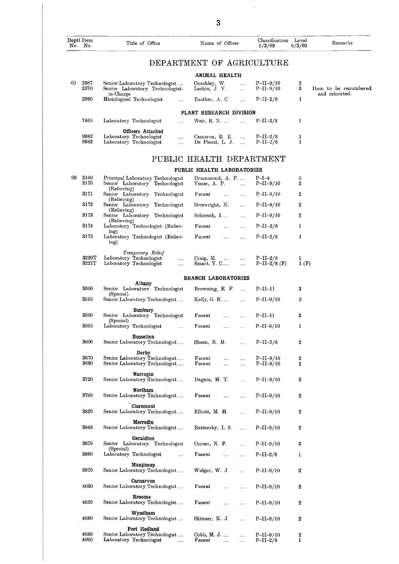| 3                     |                |                                                                                                |                                              |                       |                              |                                      |                       |  |  |
|-----------------------|----------------|------------------------------------------------------------------------------------------------|----------------------------------------------|-----------------------|------------------------------|--------------------------------------|-----------------------|--|--|
| Deptl Item<br>No. No. |                | Title of Office                                                                                | Name of Officer                              |                       | Classification<br>5/3/69     | Level<br>6/3/69                      | Remarks               |  |  |
|                       |                |                                                                                                | DEPARTMENT OF AGRICULTURE                    |                       |                              |                                      |                       |  |  |
|                       |                |                                                                                                | ANIMAL HEALTH                                |                       |                              |                                      |                       |  |  |
| 01                    | 2567<br>2570   | Senior Laboratory Technologist<br>Senior Laboratory Technologist-                              | Coackley, W.<br>Larkin, J. V.                | $\ddotsc$<br>$\cdots$ | $P-II-9/10$<br>$P-II-9/10$   | $\boldsymbol{2}$<br>3                | Item to be renumbered |  |  |
|                       | 2590           | in-Charge<br>Histological Technologist<br>$\mathbf{r}$                                         | Easther, A. C.                               | $\ddotsc$             | $P-II-2/8$                   | $\mathbf{1}$                         | and relocated.        |  |  |
|                       |                |                                                                                                | PLANT RESEARCH DIVISION                      |                       |                              |                                      |                       |  |  |
|                       | 7465           | Laboratory Technologist<br>$\ldots$                                                            | Weir, R. N.                                  | $\ddotsc$             | $P-II-2/8$                   | 1                                    |                       |  |  |
|                       |                | Officers Attached                                                                              |                                              |                       |                              |                                      |                       |  |  |
|                       | 9982<br>9983   | ${\it Laboratory}$ Technologist<br>$\ddotsc$<br>Laboratory Technologist<br>$\cdots$            | Cameron, R. E.<br>De Piazzi, L. J.           | $\cdots$<br>$\sim 10$ | $P-II-2/8$<br>$P-II-2/8$     | 1<br>1                               |                       |  |  |
|                       |                |                                                                                                | PUBLIC HEALTH DEPARTMENT                     |                       |                              |                                      |                       |  |  |
|                       |                |                                                                                                | PUBLIC HEALTH LABORATORIES                   |                       |                              |                                      |                       |  |  |
| 08                    | 3160           | Principal Laboratory Technologist                                                              | Drummond, A. F                               |                       | $P-I-4$                      | 5                                    |                       |  |  |
|                       | 3170<br>3171   | Senior Laboratory Technologist<br>(Relieving)                                                  | Visser, A. P.                                | $\cdots$              | $P-II-9/10$                  | $\boldsymbol{2}$                     |                       |  |  |
|                       |                | Senior Laboratory Technologist<br>(Relieving)                                                  | Vacant<br>$\cdots$                           | $\cdots$              | $P-II-9/10$                  | $\boldsymbol{2}$                     |                       |  |  |
|                       | 3172           | Senior Laboratory Technologist<br>(Relieving)                                                  | Sivewright, N.                               | $\cdots$              | $P-II-9/10$                  | $\boldsymbol{2}$                     |                       |  |  |
|                       | 3173           | Senior Laboratory Technologist<br>(Relieving)                                                  | Schorsch, I                                  | $\cdots$              | $P-II-9/10$                  | $\boldsymbol{2}$                     |                       |  |  |
|                       | 3174           | Laboratory Technologist (Reliev-<br>ing)                                                       | $\emph{Vacant}$<br>$\cdots$                  | $\cdots$              | $P-II-2/8$                   | 1                                    |                       |  |  |
|                       | 3175           | Laboratory Technologist (Reliev-<br>ing)                                                       | Vacant<br>$\mathbf{1}$                       | .                     | $P-II-2/8$                   | 1                                    |                       |  |  |
|                       | 3220T<br>3221T | Temporary Relief<br>Laboratory Technologist<br>$\ldots$<br>Laboratory Technologist<br>$\cdots$ | Craig, M.<br>$\sim$ 100 $\mu$<br>Smart, Y. C | $\cdots$<br>$\cdots$  | $P-II-2/8$<br>$P-II-2/8$ (F) | 1<br>1(F)                            |                       |  |  |
|                       |                | Albany                                                                                         | <b>BRANCH LABORATORIES</b>                   |                       |                              |                                      |                       |  |  |
|                       | 3500           | Senior Laboratory Technologist<br>(Special)                                                    | Browning, $E.$ $F.$                          |                       | $P-II-I1$                    | 3                                    |                       |  |  |
|                       | 3510           | Senior Laboratory Technologist                                                                 | Kelly, G. E.                                 | $\mathbf{u}$          | $P-II-9/10$                  | $\boldsymbol{2}$                     |                       |  |  |
|                       | 3560           | <b>Bunbury</b><br>Senior Laboratory Technologist                                               | Vacant<br>$\cdots$                           | $\ddotsc$             | $P-II-I1$                    | 3                                    |                       |  |  |
|                       | 3565           | (Special)<br>Laboratory Technologist<br>$\mathcal{L} = \mathcal{L}$                            | Vacant<br>$\sim 10^{-1}$                     | $\cdots$              | $P-II-9/10$                  | 1                                    |                       |  |  |
|                       |                | <b>Busselton</b>                                                                               |                                              |                       |                              |                                      |                       |  |  |
|                       | 3600           | Senior Laboratory Technologist<br>Derby                                                        | Sheen, R. M.                                 | $\cdots$              | $P-II-2/8$                   | $\boldsymbol{2}$                     |                       |  |  |
|                       | 3670<br>3680   | Senior Laboratory Technologist<br>Senior Laboratory Technologist                               | Vacant<br>$\cdots$<br>Vacant<br>التصار       | $\cdots$<br>$\cdots$  | $P-II-9/10$<br>$P-II-9/10$   | $\boldsymbol{2}$<br>$\boldsymbol{2}$ |                       |  |  |
|                       | 3720           | Narrogin<br>Senior Laboratory Technologist                                                     | Dagnia, H. T.                                | $\cdots$              | $P-II-9/10$                  | 2                                    |                       |  |  |
|                       | 3760           | Northam<br>Senior Laboratory Technologist                                                      | Vacant<br>$\cdots$                           | $\cdots$              | $P-II-9/10$                  | $\boldsymbol{2}$                     |                       |  |  |
|                       | 3820           | Claremont<br>Senior Laboratory Technologist                                                    | Elliott, M. H.                               | $\cdots$              | $P-II-9/10$                  | 2                                    |                       |  |  |
|                       | 3845           | Merredin<br>Senior Laboratory Technologist                                                     | Battersby, I. S.                             | $\cdots$              | $P-II-9/10$                  | $\boldsymbol{2}$                     |                       |  |  |
|                       | 3870           | Geraldton<br>Senior Laboratory Technologist                                                    | Corner, $N$ . $F$ .                          | $\cdots$              | $P-II-9/10$                  | 3                                    |                       |  |  |
|                       | 3880           | (Special)<br>Laboratory Technologist                                                           | Vacant<br>$\mathbf{r}$                       | $\cdots$              | $P-II-2/8$                   | 1                                    |                       |  |  |
|                       | 3970           | Manjimup<br>Senior Laboratory Technologist                                                     | Widger, W. J.                                | $\cdots$              | $P-II-9/10$                  | 2                                    |                       |  |  |
|                       | 4030           | Carnarvon<br>Senior Laboratory Technologist                                                    | $\emph{Vacant}$<br>$\sim 10^{-11}$           | $\cdots$              | $P-II-9/10$                  | 2                                    |                       |  |  |
|                       | 4050           | <b>Broome</b><br>Senior Laboratory Technologist                                                | Vacant<br>$\cdots$                           | $\cdots$              | $P-II-9/10$                  | 2                                    |                       |  |  |
|                       | 4080           | Wyndham<br>Senior Laboratory Technologist                                                      | Skinner, K. J.                               | $\cdots$              | $P-II-9/10$                  | 2                                    |                       |  |  |
|                       |                | Port Hedland                                                                                   |                                              |                       |                              |                                      |                       |  |  |
|                       | 4086<br>4090   | Senior Laboratory Technologist<br>Laboratory Technologist<br>$\mathcal{L} = \mathcal{L}$       | Cobb. $M. J.$<br>Vacant<br><b>Service</b>    | $\cdots$<br>$\cdots$  | $P-II-9/10$<br>$P-II-2/8$    | 2<br>ı                               |                       |  |  |